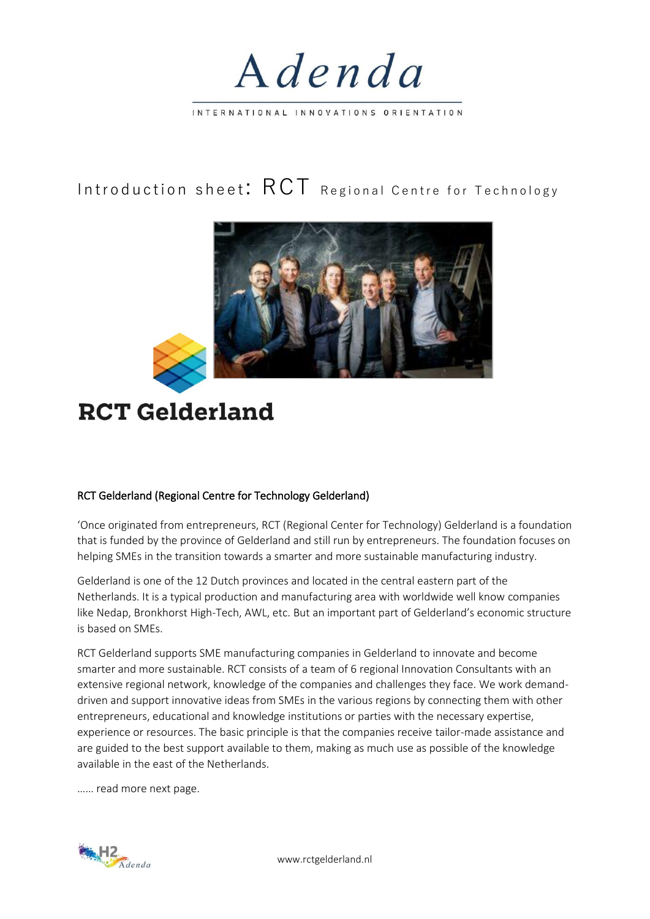

INTERNATIONAL INNOVATIONS ORIENTATION

## Introduction sheet:  $\text{RCT}$  Regional Centre for Technology





## RCT Gelderland (Regional Centre for Technology Gelderland)

'Once originated from entrepreneurs, RCT (Regional Center for Technology) Gelderland is a foundation that is funded by the province of Gelderland and still run by entrepreneurs. The foundation focuses on helping SMEs in the transition towards a smarter and more sustainable manufacturing industry.

Gelderland is one of the 12 Dutch provinces and located in the central eastern part of the Netherlands. It is a typical production and manufacturing area with worldwide well know companies like Nedap, Bronkhorst High-Tech, AWL, etc. But an important part of Gelderland's economic structure is based on SMEs.

RCT Gelderland supports SME manufacturing companies in Gelderland to innovate and become smarter and more sustainable. RCT consists of a team of 6 regional Innovation Consultants with an extensive regional network, knowledge of the companies and challenges they face. We work demanddriven and support innovative ideas from SMEs in the various regions by connecting them with other entrepreneurs, educational and knowledge institutions or parties with the necessary expertise, experience or resources. The basic principle is that the companies receive tailor-made assistance and are guided to the best support available to them, making as much use as possible of the knowledge available in the east of the Netherlands.

…… read more next page.